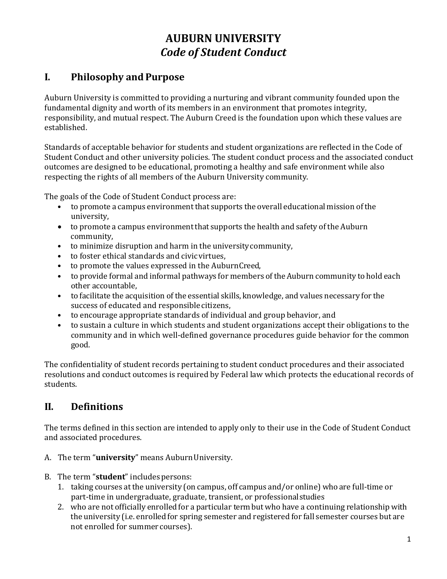# **AUBURN UNIVERSITY** *Code of Student Conduct*

## **I. Philosophy and Purpose**

Auburn University is committed to providing a nurturing and vibrant community founded upon the fundamental dignity and worth of its members in an environment that promotes integrity, responsibility, and mutual respect. The Auburn Creed is the foundation upon which these values are established.

Standards of acceptable behavior for students and student organizations are reflected in the Code of Student Conduct and other university policies. The student conduct process and the associated conduct outcomes are designed to be educational, promoting a healthy and safe environment while also respecting the rights of all members of the Auburn University community.

The goals of the Code of Student Conduct process are:

- to promote a campus environmentthat supports the overall educational mission of the university,
- to promote a campus environment that supports the health and safety of the Auburn community,
- to minimize disruption and harm in the universitycommunity,
- to foster ethical standards and civicvirtues,
- to promote the values expressed in the AuburnCreed,
- to provide formal and informal pathways for members of the Auburn community to hold each other accountable,
- to facilitate the acquisition of the essential skills, knowledge, and values necessary for the success of educated and responsible citizens,
- to encourage appropriate standards of individual and group behavior, and
- to sustain a culture in which students and student organizations accept their obligations to the community and in which well-defined governance procedures guide behavior for the common good.

The confidentiality of student records pertaining to student conduct procedures and their associated resolutions and conduct outcomes is required by Federal law which protects the educational records of students.

## **II. Definitions**

The terms defined in this section are intended to apply only to their use in the Code of Student Conduct and associated procedures.

- A. The term "**university**" means Auburn University.
- B. The term "**student**" includes persons:
	- 1. taking courses at the university (on campus, off campus and/or online) who are full-time or part-time in undergraduate, graduate, transient, or professionalstudies
	- 2. who are not officially enrolled for a particular term but who have a continuing relationship with the university (i.e. enrolled for spring semester and registered for fall semester courses but are not enrolled for summer courses).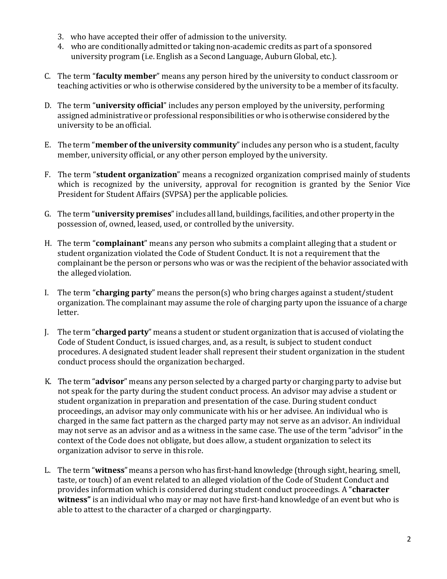- 3. who have accepted their offer of admission to the university.
- 4. who are conditionally admitted or taking non-academic credits as part of a sponsored university program (i.e. English as a Second Language, Auburn Global, etc.).
- C. The term "**faculty member**" means any person hired by the university to conduct classroom or teaching activities or who is otherwise considered by the university to be a member of its faculty.
- D. The term "**university official**" includes any person employed by the university, performing assigned administrative or professional responsibilities or who is otherwise considered by the university to be anofficial.
- E. The term "**member of theuniversity community**"includes any person who is a student, faculty member, university official, or any other person employed by the university.
- F. The term "**student organization**" means a recognized organization comprised mainly of students which is recognized by the university, approval for recognition is granted by the Senior Vice President for Student Affairs (SVPSA) per the applicable policies.
- G. The term "**university premises**"includes all land, buildings, facilities, and other property in the possession of, owned, leased, used, or controlled bythe university.
- H. The term "**complainant**" means any person who submits a complaint alleging that a student or student organization violated the Code of Student Conduct. It is not a requirement that the complainant be the person or persons who was or was the recipient of the behavior associated with the alleged violation.
- I. The term "**charging party**" means the person(s) who bring charges against a student/student organization. The complainant may assume the role of charging party upon the issuance of a charge letter.
- J. The term "**charged party**" means a student or student organization that is accused of violating the Code of Student Conduct, is issued charges, and, as a result, is subject to student conduct procedures. A designated student leader shall represent their student organization in the student conduct process should the organization becharged.
- K. The term "**advisor**" means any person selected by a charged party or charging party to advise but not speak for the party during the student conduct process. An advisor may advise a student or student organization in preparation and presentation of the case. During student conduct proceedings, an advisor may only communicate with his or her advisee. An individual who is charged in the same fact pattern as the charged party may not serve as an advisor. An individual may not serve as an advisor and as a witness in the same case. The use of the term "advisor" in the context of the Code does not obligate, but does allow, a student organization to select its organization advisor to serve in thisrole.
- L. The term "**witness**" means a person who has first-hand knowledge (through sight, hearing, smell, taste, or touch) of an event related to an alleged violation of the Code of Student Conduct and provides information which is considered during student conduct proceedings. A "**character witness"** is an individual who may or may not have first-hand knowledge of an event but who is able to attest to the character of a charged or chargingparty.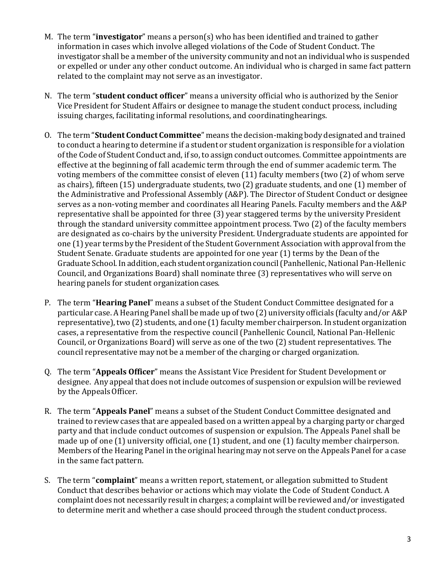- M. The term "**investigator**" means a person(s) who has been identified and trained to gather information in cases which involve alleged violations of the Code of Student Conduct. The investigator shall be a member of the university community and not an individual who is suspended or expelled or under any other conduct outcome. An individual who is charged in same fact pattern related to the complaint may not serve as an investigator.
- N. The term "**student conduct officer**" means a university official who is authorized by the Senior Vice President for Student Affairs or designee to manage the student conduct process, including issuing charges, facilitating informal resolutions, and coordinatinghearings.
- O. The term "**Student Conduct Committee**" means the decision-making body designated and trained to conduct a hearing to determine if a student or student organization is responsible for a violation ofthe Code of Student Conduct and, if so, to assign conduct outcomes. Committee appointments are effective at the beginning of fall academic term through the end of summer academic term. The voting members of the committee consist of eleven (11) faculty members (two (2) of whom serve as chairs), fifteen (15) undergraduate students, two (2) graduate students, and one (1) member of the Administrative and Professional Assembly (A&P). The Director of Student Conduct or designee serves as a non-voting member and coordinates all Hearing Panels. Faculty members and the A&P representative shall be appointed for three (3) year staggered terms by the university President through the standard university committee appointment process. Two (2) of the faculty members are designated as co-chairs by the university President. Undergraduate students are appointed for one (1) year terms by the President of the Student Government Association with approval from the Student Senate. Graduate students are appointed for one year (1) terms by the Dean of the Graduate School. In addition, each student organization council (Panhellenic, National Pan-Hellenic Council, and Organizations Board) shall nominate three (3) representatives who will serve on hearing panels for student organization cases.
- P. The term "**Hearing Panel**" means a subset of the Student Conduct Committee designated for a particular case. AHearing Panel shall be made up of two (2) university officials (faculty and/or A&P representative), two (2) students, and one (1) faculty member chairperson. In student organization cases, a representative from the respective council (Panhellenic Council, National Pan-Hellenic Council, or Organizations Board) will serve as one of the two (2) student representatives. The council representative may not be a member of the charging or charged organization.
- Q. The term "**Appeals Officer**" means the Assistant Vice President for Student Development or designee. Any appeal that does not include outcomes of suspension or expulsion will be reviewed by the Appeals Officer.
- R. The term "**Appeals Panel**" means a subset of the Student Conduct Committee designated and trained to review cases that are appealed based on a written appeal by a charging party or charged party and that include conduct outcomes of suspension or expulsion. The Appeals Panel shall be made up of one (1) university official, one (1) student, and one (1) faculty member chairperson. Members of the Hearing Panel in the original hearing may not serve on the Appeals Panel for a case in the same fact pattern.
- S. The term "**complaint**" means a written report, statement, or allegation submitted to Student Conduct that describes behavior or actions which may violate the Code of Student Conduct. A complaint does not necessarily resultin charges; a complaint will be reviewed and/or investigated to determine merit and whether a case should proceed through the student conduct process.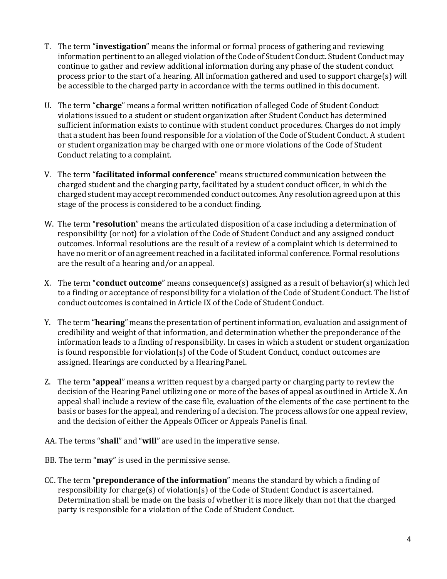- T. The term "**investigation**" means the informal or formal process of gathering and reviewing information pertinent to an alleged violation of the Code of Student Conduct. Student Conduct may continue to gather and review additional information during any phase of the student conduct process prior to the start of a hearing. All information gathered and used to support charge(s) will be accessible to the charged party in accordance with the terms outlined in thisdocument.
- U. The term "**charge**" means a formal written notification of alleged Code of Student Conduct violations issued to a student or student organization after Student Conduct has determined sufficient information exists to continue with student conduct procedures. Charges do not imply that a student has been found responsible for a violation of the Code of Student Conduct. A student or student organization may be charged with one or more violations of the Code of Student Conduct relating to a complaint.
- V. The term "**facilitated informal conference**" means structured communication between the charged student and the charging party, facilitated by a student conduct officer, in which the charged student may accept recommended conduct outcomes. Any resolution agreed upon atthis stage of the process is considered to be a conduct finding.
- W. The term "**resolution**" means the articulated disposition of a case including a determination of responsibility (or not) for a violation of the Code of Student Conduct and any assigned conduct outcomes. Informal resolutions are the result of a review of a complaint which is determined to have no merit or of an agreement reached in a facilitated informal conference. Formal resolutions are the result of a hearing and/or anappeal.
- X. The term "**conduct outcome**" means consequence(s) assigned as a result of behavior(s) which led to a finding or acceptance of responsibility for a violation of the Code of Student Conduct. The list of conduct outcomes is contained in Article IX of the Code of Student Conduct.
- Y. The term "**hearing**" means the presentation of pertinentinformation, evaluation and assignment of credibility and weight of that information, and determination whether the preponderance of the information leads to a finding of responsibility. In cases in which a student or student organization is found responsible for violation(s) of the Code of Student Conduct, conduct outcomes are assigned. Hearings are conducted by a HearingPanel.
- Z. The term "**appeal**" means a written request by a charged party or charging party to review the decision of the Hearing Panel utilizing one or more of the bases of appeal as outlined in Article X. An appeal shall include a review of the case file, evaluation of the elements of the case pertinent to the basis or bases for the appeal, and rendering of a decision. The process allows for one appeal review, and the decision of either the Appeals Officer or Appeals Panel is final.
- AA. The terms "**shall**" and "**will**" are used in the imperative sense.
- BB. The term "**may**" is used in the permissive sense.
- CC. The term "**preponderance of the information**" means the standard by which a finding of responsibility for charge(s) of violation(s) of the Code of Student Conduct is ascertained. Determination shall be made on the basis of whether it is more likely than not that the charged party is responsible for a violation of the Code of Student Conduct.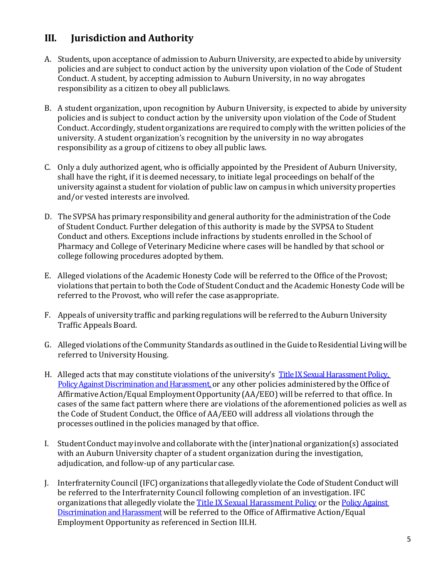## **III. Jurisdiction and Authority**

- A. Students, upon acceptance of admission to Auburn University, are expected to abide by university policies and are subject to conduct action by the university upon violation of the Code of Student Conduct. A student, by accepting admission to Auburn University, in no way abrogates responsibility as a citizen to obey all publiclaws.
- B. A student organization, upon recognition by Auburn University, is expected to abide by university policies and is subject to conduct action by the university upon violation of the Code of Student Conduct. Accordingly, student organizations are required to comply with the written policies of the university. A student organization's recognition by the university in no way abrogates responsibility as a group of citizens to obey all public laws.
- C. Only a duly authorized agent, who is officially appointed by the President of Auburn University, shall have the right, if it is deemed necessary, to initiate legal proceedings on behalf of the university against a studentfor violation of public law on campus in which university properties and/or vested interests are involved.
- D. The SVPSA has primary responsibility and general authority for the administration of the Code of Student Conduct. Further delegation of this authority is made by the SVPSA to Student Conduct and others. Exceptions include infractions by students enrolled in the School of Pharmacy and College of Veterinary Medicine where cases will be handled by that school or college following procedures adopted bythem.
- E. Alleged violations of the Academic Honesty Code will be referred to the Office of the Provost; violations that pertain to both the Code of Student Conduct and the Academic Honesty Code will be referred to the Provost, who will refer the case asappropriate.
- F. Appeals of university traffic and parking regulationswill be referred to the Auburn University Traffic Appeals Board.
- G. Alleged violations of the Community Standards as outlined in the Guide to Residential Living will be referred to University Housing.
- H. Alleged acts that may constitute violations of the university's [Title IX Sexual Harassment Policy,](https://sites.auburn.edu/admin/universitypolicies/Policies/TitleIXSexualHarassmentPolicy.pdf#search=Title%20IX) [Policy Against Discrimination and Harassment,](https://sites.auburn.edu/admin/universitypolicies/Policies/PolicyAgainstDiscriminationandHarassment.pdf) or any other policies administered by the Office of Affirmative Action/Equal Employment Opportunity (AA/EEO) will be referred to that office. In cases of the same fact pattern where there are violations of the aforementioned policies as well as the Code of Student Conduct, the Office of AA/EEO will address all violations through the processes outlined in the policies managed by that office.
- I. Student Conduct may involve and collaborate with the (inter)national organization(s) associated with an Auburn University chapter of a student organization during the investigation, adjudication, and follow-up of any particular case.
- J. InterfraternityCouncil(IFC) organizations that allegedly violate the Code of StudentConductwill be referred to the Interfraternity Council following completion of an investigation. IFC organizations that allegedly violate the [Title IX Sexual Harassment Policy](https://sites.auburn.edu/admin/universitypolicies/Policies/TitleIXSexualHarassmentPolicy.pdf#search=Title%20IX) or the Policy Against Discrimination and Harassment will be referred to the Office of Affirmative Action/Equal Employment Opportunity as referenced in Section III.H.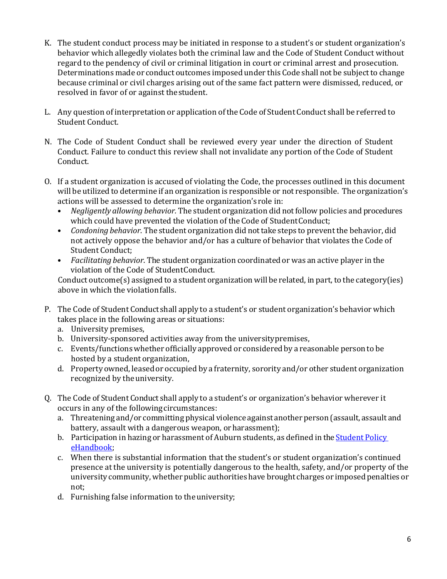- K. The student conduct process may be initiated in response to a student's or student organization's behavior which allegedly violates both the criminal law and the Code of Student Conduct without regard to the pendency of civil or criminal litigation in court or criminal arrest and prosecution. Determinations made or conduct outcomes imposed under this Code shall not be subject to change because criminal or civil charges arising out of the same fact pattern were dismissed, reduced, or resolved in favor of or against thestudent.
- L. Any question of interpretation or application of the Code of Student Conduct shall be referred to Student Conduct.
- N. The Code of Student Conduct shall be reviewed every year under the direction of Student Conduct. Failure to conduct this review shall not invalidate any portion of the Code of Student Conduct.
- O. If a student organization is accused of violating the Code, the processes outlined in this document will be utilized to determine if an organization is responsible or not responsible. The organization's actions will be assessed to determine the organization's role in:<br>• Negliaently allowing behavior. The student organization did n
	- *Negligently allowing behavior.* The student organization did notfollow policies and procedures which could have prevented the violation of the Code of StudentConduct;
	- *Condoning behavior*. The student organization did not take steps to prevent the behavior, did not actively oppose the behavior and/or has a culture of behavior that violates the Code of Student Conduct;
	- *Facilitating behavior*. The student organization coordinated or was an active player in the violation of the Code of StudentConduct.

Conduct outcome(s) assigned to a student organization will be related, in part, to the category(ies) above in which the violation falls.

- P. The Code of Student Conduct shall apply to a student's or student organization's behavior which takes place in the following areas or situations:
	- a. University premises,
	- b. University-sponsored activities away from the universitypremises,
	- c. Events/functionswhether officially approved or consideredby a reasonable person to be hosted by a studentorganization,
	- d. Property owned, leasedor occupied by a fraternity, sorority and/or other student organization recognized by the university.
- Q. The Code of Student Conduct shall apply to a student's or organization's behavior wherever it occurs in any of the followingcircumstances:
	- a. Threatening and/or committing physical violence against another person (assault, assault and battery, assault with a dangerous weapon, orharassment);
	- b. Participation in hazing or harassment of Auburn students, as defined in the [Student](http://www.auburn.edu/student_info/student_policies/) Polic[y](http://www.auburn.edu/student_info/student_policies/) [eHandbook;](http://www.auburn.edu/student_info/student_policies/)
	- c. When there is substantial information that the student's or student organization's continued presence at the university is potentially dangerous to the health, safety, and/or property of the university community, whether public authoritieshave brought charges or imposedpenalties or not;
	- d. Furnishing false information to theuniversity;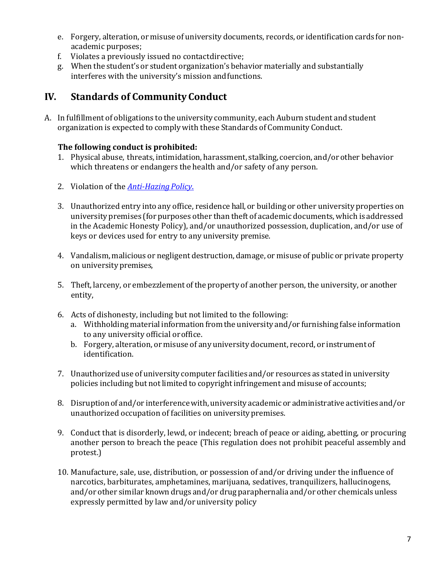- e. Forgery, alteration, or misuse of university documents, records, or identification cards for nonacademic purposes;
- f. Violates a previously issued no contactdirective;
- g. When the student's or student organization's behavior materially and substantially interferes with the university's mission andfunctions.

## **IV. Standards of Community Conduct**

A. In fulfillment of obligations to the university community, each Auburn student and student organization is expected to comply with these Standards of Community Conduct.

#### **The following conduct is prohibited:**

- 1. Physical abuse, threats, intimidation, harassment, stalking, coercion, and/or other behavior which threatens or endangers the health and/or safety of any person.
- 2. Violation of the *[Anti-Hazing](https://sites.auburn.edu/admin/universitypolicies/Policies/AntiHazingPolicy.pdf) Policy*.
- 3. Unauthorized entry into any office, residence hall, or building or other university properties on university premises (for purposes other than theft of academic documents, which is addressed in the Academic Honesty Policy), and/or unauthorized possession, duplication, and/or use of keys or devices used for entry to any university premise.
- 4. Vandalism, malicious or negligent destruction, damage, or misuse of public or private property on university premises,
- 5. Theft, larceny, or embezzlement of the property of another person, the university, or another entity,
- 6. Acts of dishonesty, including but not limited to the following:
	- a. Withholding material information from the university and/or furnishing false information to any university official oroffice.
	- b. Forgery, alteration, or misuse of any university document, record, or instrument of identification.
- 7. Unauthorized use of university computer facilities and/or resources as stated in university policies including but notlimited to copyright infringement and misuse of accounts;
- 8. Disruptionof and/or interferencewith, university academic or administrative activities and/or unauthorized occupation of facilities on universitypremises.
- 9. Conduct that is disorderly, lewd, or indecent; breach of peace or aiding, abetting, or procuring another person to breach the peace (This regulation does not prohibit peaceful assembly and protest.)
- 10. Manufacture, sale, use, distribution, or possession of and/or driving under the influence of narcotics, barbiturates, amphetamines, marijuana, sedatives, tranquilizers, hallucinogens, and/or other similar known drugs and/or drug paraphernalia and/or other chemicals unless expressly permitted by law and/or university policy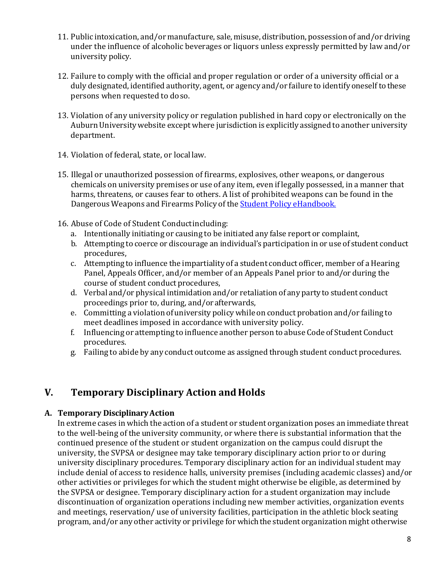- 11. Public intoxication, and/or manufacture, sale, misuse, distribution, possession of and/or driving under the influence of alcoholic beverages or liquors unless expressly permitted by law and/or university policy.
- 12. Failure to comply with the official and proper regulation or order of a university official or a duly designated, identified authority, agent, or agency and/or failure to identify oneself to these persons when requested to doso.
- 13. Violation of any university policy or regulation published in hard copy or electronically on the Auburn University website except where jurisdiction is explicitly assigned to another university department.
- 14. Violation of federal, state, or locallaw.
- 15. Illegal or unauthorized possession of firearms, explosives, other weapons, or dangerous chemicals on university premises or use of any item, even if legally possessed, in a manner that harms, threatens, or causes fear to others. A list of prohibited weapons can be found in the Dangerous Weapons and Firearms Policy of the Student Policy [eHandbook.](http://www.auburn.edu/student_info/student_policies/)
- 16. Abuse of Code of Student Conductincluding:
	- a. Intentionally initiating or causing to be initiated any false report or complaint,
	- b. Attempting to coerce or discourage an individual's participation in or use of student conduct procedures,
	- c. Attempting to influence the impartiality of a student conduct officer, member of aHearing Panel, Appeals Officer, and/or member of an Appeals Panel prior to and/or during the course of student conduct procedures,
	- d. Verbal and/or physical intimidation and/or retaliation of any party to student conduct proceedings prior to, during, and/orafterwards,
	- e. Committing a violation ofuniversity policy while on conduct probation and/or failing to meet deadlines imposed in accordance with university policy.
	- f. Influencing or attempting to influence another person to abuse Code of Student Conduct procedures.
	- g. Failing to abide by any conduct outcome as assigned through student conduct procedures.

### **V. Temporary Disciplinary Action and Holds**

#### **A. Temporary DisciplinaryAction**

In extreme cases in which the action of a student or student organization poses an immediate threat to the well-being of the university community, or where there is substantial information that the continued presence of the student or student organization on the campus could disrupt the university, the SVPSA or designee may take temporary disciplinary action prior to or during university disciplinary procedures. Temporary disciplinary action for an individual student may include denial of access to residence halls, university premises (including academic classes) and/or other activities or privileges for which the student might otherwise be eligible, as determined by the SVPSA or designee. Temporary disciplinary action for a student organization may include discontinuation of organization operations including new member activities, organization events and meetings, reservation/ use of university facilities, participation in the athletic block seating program, and/or any other activity or privilege for which the student organization might otherwise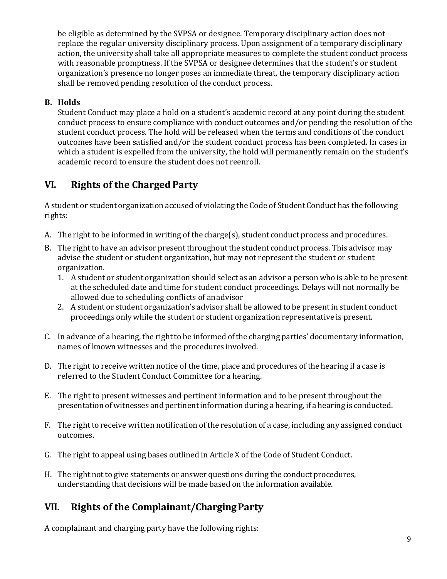be eligible as determined by the SVPSA or designee. Temporary disciplinary action does not replace the regular university disciplinary process. Upon assignment of a temporary disciplinary action, the university shall take all appropriate measures to complete the student conduct process with reasonable promptness. If the SVPSA or designee determines that the student's or student organization's presence no longer poses an immediate threat, the temporary disciplinary action shall be removed pending resolution of the conduct process.

#### **B. Holds**

Student Conduct may place a hold on a student's academic record at any point during the student conduct process to ensure compliance with conduct outcomes and/or pending the resolution of the student conduct process. The hold will be released when the terms and conditions of the conduct outcomes have been satisfied and/or the student conduct process has been completed. In cases in which a student is expelled from the university, the hold will permanently remain on the student's academic record to ensure the student does not reenroll.

## **VI. Rights of the ChargedParty**

A student or student organization accused of violating the Code of Student Conduct has the following rights:

- A. The right to be informed in writing of the charge(s), student conduct process and procedures.
- B. The right to have an advisor present throughout the student conduct process. This advisor may advise the student or student organization, but may not represent the student or student organization.
	- 1. A student or student organization should select as an advisor a person who is able to be present at the scheduled date and time for student conduct proceedings. Delays will not normally be allowed due to scheduling conflicts of anadvisor
	- 2. A student or student organization's advisor shall be allowed to be presentin student conduct proceedings only while the student or student organization representative is present.
- C. In advance of a hearing, the right to be informed of the charging parties' documentary information, names of known witnesses and the procedures involved.
- D. The right to receive written notice of the time, place and procedures of the hearing if a case is referred to the Student Conduct Committee for a hearing.
- E. The right to present witnesses and pertinent information and to be present throughout the presentation of witnesses and pertinentinformation during a hearing, if a hearing is conducted.
- F. The right to receive written notification of the resolution of a case, including any assigned conduct outcomes.
- G. The right to appeal using bases outlined in Article X of the Code of Student Conduct.
- H. The right not to give statements or answer questions during the conduct procedures, understanding that decisions will be made based on the information available.

#### **VII. Rights of the Complainant/ChargingParty**

A complainant and charging party have the following rights: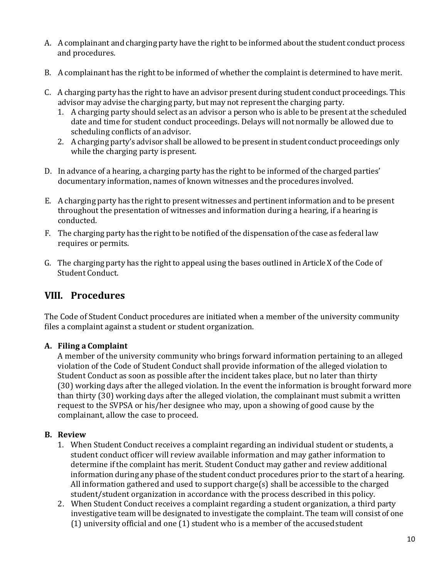- A. A complainant and charging party have the right to be informed about the student conduct process and procedures.
- B. A complainant has the right to be informed of whether the complaint is determined to have merit.
- C. A charging party has the right to have an advisor present during student conduct proceedings. This advisor may advise the charging party, but may not represent the charging party.
	- 1. A charging party should select as an advisor a person who is able to be present at the scheduled date and time for student conduct proceedings. Delays will not normally be allowed due to scheduling conflicts of an advisor.
	- 2. A charging party's advisor shall be allowed to be presentin student conduct proceedings only while the charging party is present.
- D. In advance of a hearing, a charging party has the right to be informed of the charged parties' documentary information, names of known witnesses and the procedures involved.
- E. A charging party has the right to present witnesses and pertinent information and to be present throughout the presentation of witnesses and information during a hearing, if a hearing is conducted.
- F. The charging party has the right to be notified of the dispensation of the case as federal law requires or permits.
- G. The charging party has the right to appeal using the bases outlined in Article X of the Code of Student Conduct.

### **VIII. Procedures**

The Code of Student Conduct procedures are initiated when a member of the university community files a complaint against a student or student organization.

#### **A. Filing a Complaint**

A member of the university community who brings forward information pertaining to an alleged violation of the Code of Student Conduct shall provide information of the alleged violation to Student Conduct as soon as possible after the incident takes place, but no later than thirty (30) working days after the alleged violation. In the event the information is brought forward more than thirty (30) working days after the alleged violation, the complainant must submit a written request to the SVPSA or his/her designee who may, upon a showing of good cause by the complainant, allow the case to proceed.

#### **B. Review**

- 1. When Student Conduct receives a complaint regarding an individual student or students, a student conduct officer will review available information and may gather information to determine if the complaint has merit. Student Conduct may gather and review additional information during any phase of the student conduct procedures prior to the start of a hearing. All information gathered and used to support charge(s) shall be accessible to the charged student/student organization in accordance with the process described in this policy.
- 2. When Student Conduct receives a complaint regarding a student organization, a third party investigative team will be designated to investigate the complaint. The team will consist of one  $(1)$  university official and one  $(1)$  student who is a member of the accused student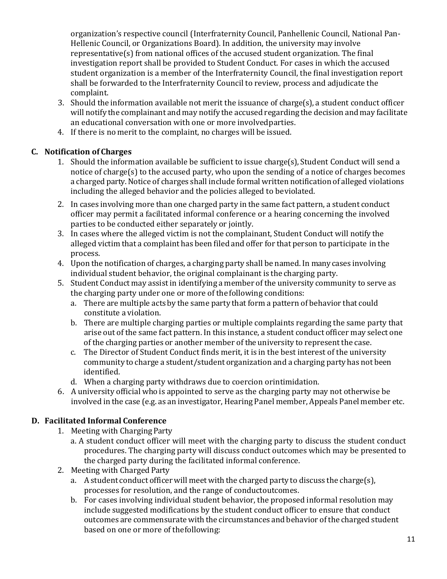organization's respective council (Interfraternity Council, Panhellenic Council, National Pan-Hellenic Council, or Organizations Board). In addition, the university may involve representative(s) from national offices of the accused student organization. The final investigation report shall be provided to Student Conduct. For cases in which the accused student organization is a member of the Interfraternity Council, the final investigation report shall be forwarded to the Interfraternity Council to review, process and adjudicate the complaint.

- 3. Should the information available not merit the issuance of charge(s), a student conduct officer will notify the complainant and may notify the accused regarding the decision and may facilitate an educational conversation with one or more involvedparties.
- 4. If there is no merit to the complaint, no charges will be issued.

#### **C. Notification of Charges**

- 1. Should the information available be sufficient to issue charge(s), Student Conduct will send a notice of charge(s) to the accused party, who upon the sending of a notice of charges becomes a charged party.Notice of charges shall include formal written notification of alleged violations including the alleged behavior and the policies alleged to beviolated.
- 2. In cases involving more than one charged party in the same fact pattern, a student conduct officer may permit a facilitated informal conference or a hearing concerning the involved parties to be conducted either separately or jointly.
- 3. In cases where the alleged victim is not the complainant, Student Conduct will notify the alleged victim that a complaint has been filed and offer for that person to participate in the process.
- 4. Upon the notification of charges, a charging party shall be named. In manycases involving individual student behavior, the original complainant is the charging party.
- 5. Student Conduct may assist in identifying a member of the university community to serve as the charging party under one or more of the following conditions:
	- a. There are multiple acts by the same party that form a pattern of behavior that could constitute a violation.
	- b. There are multiple charging parties or multiple complaints regarding the same party that arise out of the same fact pattern. In this instance, a student conduct officer may select one of the charging parties or another member of the university to represent the case.
	- c. The Director of Student Conduct finds merit, it is in the best interest of the university community to charge a student/student organization and a charging party has not been identified.
	- d. When a charging party withdraws due to coercion orintimidation.
- 6. A university official who is appointed to serve as the charging party may not otherwise be involved in the case (e.g. as an investigator, Hearing Panel member, Appeals Panel member etc.

#### **D. Facilitated Informal Conference**

- 1. Meeting with Charging Party
	- a. A student conduct officer will meet with the charging party to discuss the student conduct procedures. The charging party will discuss conduct outcomes which may be presented to the charged party during the facilitated informal conference.
- 2. Meeting with Charged Party
	- a. A student conduct officer will meet with the charged party to discuss the charge(s), processes for resolution, and the range of conductoutcomes.
	- b. For cases involving individual student behavior, the proposed informal resolution may include suggested modifications by the student conduct officer to ensure that conduct outcomes are commensurate with the circumstances and behavior of the charged student based on one or more of thefollowing: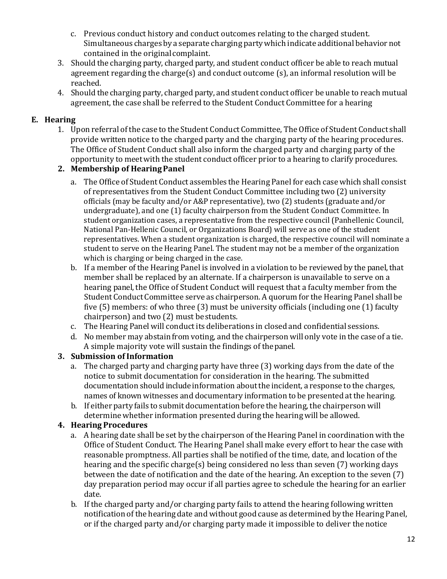- c. Previous conduct history and conduct outcomes relating to the charged student. Simultaneous charges by a separate charging partywhich indicate additional behavior not contained in the originalcomplaint.
- 3. Should the charging party, charged party, and student conduct officer be able to reach mutual agreement regarding the charge(s) and conduct outcome (s), an informal resolution will be reached.
- 4. Should the charging party, charged party, and student conduct officer be unable to reach mutual agreement, the case shall be referred to the Student Conduct Committee for a hearing

#### **E. Hearing**

1. Upon referral of the case to the Student Conduct Committee, The Office of Student Conduct shall provide written notice to the charged party and the charging party of the hearing procedures. The Office of Student Conduct shall also inform the charged party and charging party of the opportunity to meetwith the student conduct officer prior to a hearing to clarify procedures.

#### **2. Membership of HearingPanel**

- a. The Office of Student Conduct assembles the Hearing Panel for each case which shall consist of representatives from the Student Conduct Committee including two (2) university officials (may be faculty and/or A&P representative), two (2) students (graduate and/or undergraduate), and one (1) faculty chairperson from the Student Conduct Committee. In student organization cases, a representative from the respective council (Panhellenic Council, National Pan-Hellenic Council, or Organizations Board) will serve as one of the student representatives. When a student organization is charged, the respective council will nominate a student to serve on the Hearing Panel. The student may not be a member of the organization which is charging or being charged in the case.
- b. If a member of the Hearing Panel is involved in a violation to be reviewed by the panel, that member shall be replaced by an alternate. If a chairperson is unavailable to serve on a hearing panel, the Office of Student Conduct will request that a faculty member from the Student Conduct Committee serve as chairperson.A quorum for the Hearing Panel shall be five (5) members: of who three (3) must be university officials (including one (1) faculty chairperson) and two (2) must bestudents.
- c. The Hearing Panel will conduct its deliberations in closed and confidential sessions.
- d. No member may abstain from voting, and the chairperson will only vote in the case of a tie. A simple majority vote will sustain the findings of thepanel.

#### **3. Submission of Information**

- a. The charged party and charging party have three (3) working days from the date of the notice to submit documentation for consideration in the hearing. The submitted documentation should include information aboutthe incident, a response to the charges, names of known witnesses and documentary information to be presented at the hearing.
- b. If either party fails to submit documentation before the hearing, the chairperson will determine whether information presented during the hearing will be allowed.

#### **4. Hearing Procedures**

- a. A hearing date shall be set by the chairperson of the Hearing Panel in coordination with the Office of Student Conduct. The Hearing Panel shall make every effort to hear the case with reasonable promptness. All parties shall be notified of the time, date, and location of the hearing and the specific charge(s) being considered no less than seven (7) working days between the date of notification and the date of the hearing. An exception to the seven (7) day preparation period may occur if all parties agree to schedule the hearing for an earlier date.
- b. If the charged party and/or charging party fails to attend the hearing following written notification of the hearing date and without good cause as determined by the Hearing Panel, or if the charged party and/or charging party made it impossible to deliver thenotice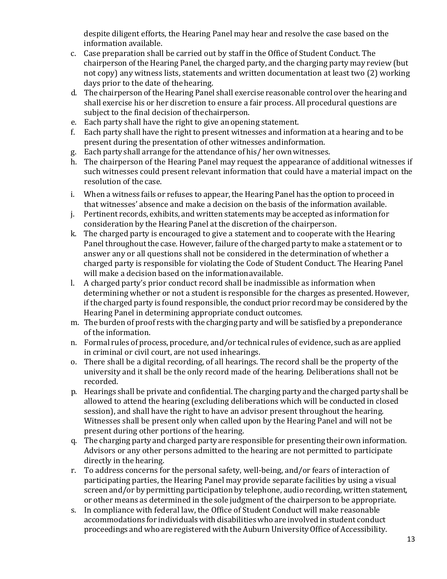despite diligent efforts, the Hearing Panel may hear and resolve the case based on the information available.

- c. Case preparation shall be carried out by staff in the Office of Student Conduct. The chairperson of the Hearing Panel, the charged party, and the charging party may review (but not copy) any witness lists, statements and written documentation at least two (2) working days prior to the date of thehearing.
- d. The chairperson of the Hearing Panel shall exercise reasonable control over the hearing and shall exercise his or her discretion to ensure a fair process. All procedural questions are subject to the final decision of thechairperson.
- e. Each party shall have the right to give an opening statement.<br>f. Each party shall have the right to present witnesses and inform
- f. Each party shall have the right to present witnesses and information at a hearing and to be present during the presentation of other witnesses andinformation.
- g. Each party shall arrange for the attendance of his/ her own witnesses.
- h. The chairperson of the Hearing Panel may request the appearance of additional witnesses if such witnesses could present relevant information that could have a material impact on the resolution of the case.
- i. When a witness fails or refuses to appear, the Hearing Panel has the option to proceed in that witnesses' absence and make a decision on the basis of the information available.
- j. Pertinent records, exhibits, and written statements may be accepted as information for consideration by the Hearing Panel at the discretion of the chairperson.
- k. The charged party is encouraged to give a statement and to cooperate with the Hearing Panel throughout the case. However, failure of the charged party to make a statement or to answer any or all questions shall not be considered in the determination of whether a charged party is responsible for violating the Code of Student Conduct. The Hearing Panel will make a decision based on the informationavailable.
- l. A charged party's prior conduct record shall be inadmissible as information when determining whether or not a student is responsible for the charges as presented. However, if the charged party is found responsible, the conduct prior record may be considered by the Hearing Panel in determining appropriate conduct outcomes.
- m. The burden of proof rests with the charging party and will be satisfied by a preponderance of the information.
- n. Formal rules of process, procedure, and/or technical rules of evidence, such as are applied in criminal or civil court, are not used inhearings.
- o. There shall be a digital recording, of all hearings. The record shall be the property of the university and it shall be the only record made of the hearing. Deliberations shall not be recorded.
- p. Hearings shall be private and confidential. The charging party and the charged party shall be allowed to attend the hearing (excluding deliberations which will be conducted in closed session), and shall have the right to have an advisor present throughout the hearing. Witnesses shall be present only when called upon by the Hearing Panel and will not be present during other portions of the hearing.
- q. The charging party and charged party are responsible for presenting their own information. Advisors or any other persons admitted to the hearing are not permitted to participate directly in the hearing.
- r. To address concerns for the personal safety, well-being, and/or fears of interaction of participating parties, the Hearing Panel may provide separate facilities by using a visual screen and/or by permitting participation by telephone, audio recording, written statement, or other means as determined in the sole judgment of the chairperson to be appropriate.
- s. In compliance with federal law, the Office of Student Conduct will make reasonable accommodations for individualswith disabilitieswho are involved in student conduct proceedings and who are registered with the Auburn UniversityOffice of Accessibility.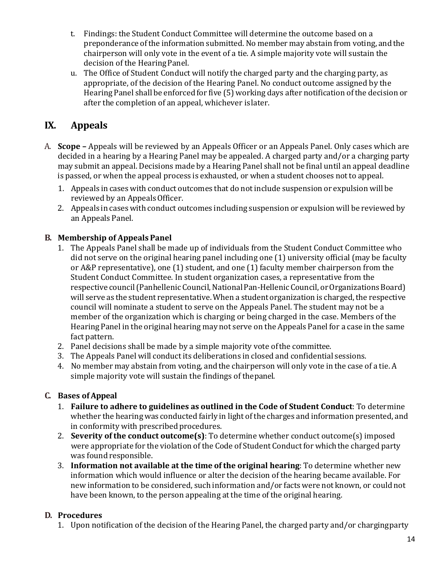- t. Findings: the Student Conduct Committee will determine the outcome based on a preponderance ofthe information submitted. No member may abstain from voting, and the chairperson will only vote in the event of a tie. A simple majority vote will sustain the decision of the HearingPanel.
- u. The Office of Student Conduct will notify the charged party and the charging party, as appropriate, of the decision of the Hearing Panel. No conduct outcome assigned by the Hearing Panel shall be enforced for five (5) working days after notification of the decision or after the completion of an appeal, whichever islater.

## **IX. Appeals**

- A. **Scope –** Appeals will be reviewed by an Appeals Officer or an Appeals Panel. Only cases which are decided in a hearing by a Hearing Panel may be appealed. A charged party and/or a charging party may submit an appeal. Decisions made by a Hearing Panel shall not be final until an appeal deadline is passed, or when the appeal process is exhausted, or when a student chooses not to appeal.
	- 1. Appeals in cases with conduct outcomes that do not include suspension or expulsion will be reviewed by an Appeals Officer.
	- 2. Appeals in cases with conduct outcomes including suspension or expulsion will be reviewed by an Appeals Panel.

#### **B. Membership of Appeals Panel**

- 1. The Appeals Panel shall be made up of individuals from the Student Conduct Committee who did not serve on the original hearing panel including one (1) university official (may be faculty or A&P representative), one (1) student, and one (1) faculty member chairperson from the Student Conduct Committee. In student organization cases, a representative from the respective council (Panhellenic Council, National Pan-Hellenic Council, or Organizations Board) will serve as the student representative. When a studentorganization is charged, the respective council will nominate a student to serve on the Appeals Panel. The student may not be a member of the organization which is charging or being charged in the case. Members of the Hearing Panel in the original hearing may not serve on the Appeals Panel for a case in the same fact pattern.
- 2. Panel decisions shall be made by a simple majority vote ofthe committee.
- 3. The Appeals Panel will conduct its deliberations in closed and confidential sessions.
- 4. No member may abstain from voting, and the chairperson will only vote in the case of a tie. A simple majority vote will sustain the findings of thepanel.

#### **C. Bases of Appeal**

- 1. **Failure to adhere to guidelines as outlined in the Code of Student Conduct**: To determine whether the hearing was conducted fairly in light of the charges and information presented, and in conformity with prescribed procedures.
- 2. **Severity of the conduct outcome(s)**: To determine whether conduct outcome(s) imposed were appropriate for the violation of the Code of Student Conduct for which the charged party was found responsible.
- 3. **Information not available at the time of the original hearing**: To determine whether new information which would influence or alter the decision of the hearing became available. For new information to be considered, such information and/or facts were not known, or could not have been known, to the person appealing at the time of the original hearing.

#### **D. Procedures**

1. Upon notification of the decision of the Hearing Panel, the charged party and/or chargingparty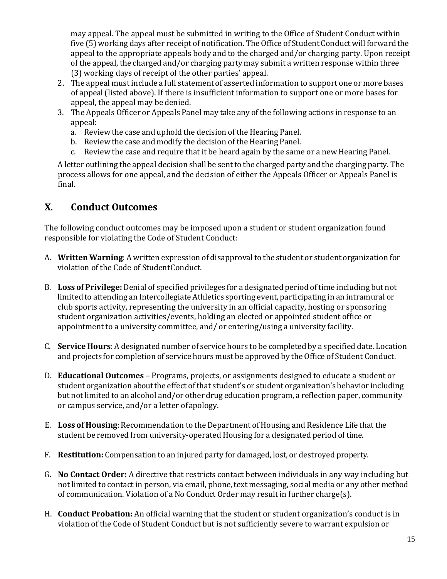may appeal. The appeal must be submitted in writing to the Office of Student Conduct within five (5) working days after receipt of notification. The Office of Student Conduct will forward the appeal to the appropriate appeals body and to the charged and/or charging party. Upon receipt of the appeal, the charged and/or charging party may submit a written response within three (3) working days of receipt of the other parties' appeal.

- 2. The appeal must include a full statement of asserted information to support one or more bases of appeal (listed above). If there is insufficient information to support one or more bases for appeal, the appeal may be denied.
- 3. The Appeals Officer or Appeals Panel may take any of the following actions in response to an appeal:
	- a. Review the case and uphold the decision of the Hearing Panel.
	- b. Review the case and modify the decision of the Hearing Panel.
	- c. Review the case and require that it be heard again by the same or a new Hearing Panel.

A letter outlining the appeal decision shall be sentto the charged party and the charging party. The process allows for one appeal, and the decision of either the Appeals Officer or Appeals Panel is final.

### **X. Conduct Outcomes**

The following conduct outcomes may be imposed upon a student or student organization found responsible for violating the Code of Student Conduct:

- A. **Written Warning**: A written expression of disapproval to the student or studentorganization for violation of the Code of StudentConduct.
- B. **Loss of Privilege:** Denial of specified privileges for a designated period of time including but not limited to attending an Intercollegiate Athletics sporting event, participating in an intramural or club sports activity, representing the university in an official capacity, hosting or sponsoring student organization activities/events, holding an elected or appointed student office or appointment to a university committee, and/ or entering/using a university facility.
- C. **Service Hours**: A designated number of service hours to be completed by a specified date. Location and projects for completion of service hours must be approved by the Office of Student Conduct.
- D. **Educational Outcomes**  Programs, projects, or assignments designed to educate a student or student organization aboutthe effect ofthat student's or student organization's behavior including but notlimited to an alcohol and/or other drug education program, a reflection paper, community or campus service, and/or a letter ofapology.
- E. **Loss of Housing**: Recommendation to the Department of Housing and Residence Life that the student be removed from university-operated Housing for a designated period of time.
- F. **Restitution:** Compensation to an injured party for damaged, lost, or destroyed property.
- G. **No Contact Order:** A directive that restricts contact between individuals in any way including but not limited to contact in person, via email, phone, text messaging, social media or any other method of communication. Violation of a No Conduct Order may result in further charge(s).
- H. **Conduct Probation:** An official warning that the student or student organization's conduct is in violation of the Code of Student Conduct but is not sufficiently severe to warrant expulsion or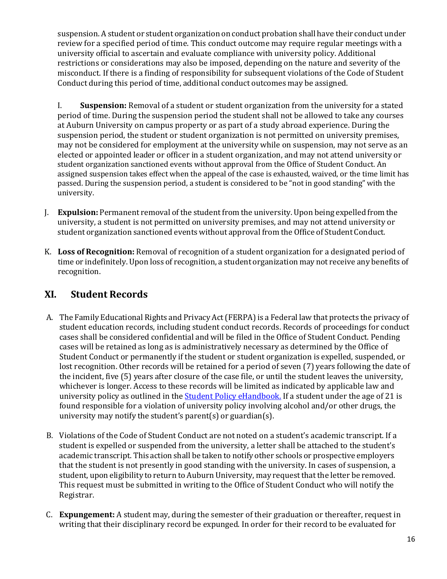suspension. A student or student organization on conduct probation shall have their conduct under review for a specified period of time. This conduct outcome may require regular meetings with a university official to ascertain and evaluate compliance with university policy. Additional restrictions or considerations may also be imposed, depending on the nature and severity of the misconduct. If there is a finding of responsibility for subsequent violations of the Code of Student Conduct during this period of time, additional conduct outcomes may be assigned.

I. **Suspension:** Removal of a student or student organization from the university for a stated period of time. During the suspension period the student shall not be allowed to take any courses at Auburn University on campus property or as part of a study abroad experience. During the suspension period, the student or student organization is not permitted on university premises, may not be considered for employment at the university while on suspension, may not serve as an elected or appointed leader or officer in a student organization, and may not attend university or student organization sanctioned events without approval from the Office of Student Conduct. An assigned suspension takes effect when the appeal of the case is exhausted, waived, or the time limit has passed. During the suspension period, a student is considered to be "not in good standing" with the university.

- J. **Expulsion:** Permanent removal of the studentfrom the university. Upon being expelled from the university, a student is not permitted on university premises, and may not attend university or student organization sanctioned events without approval from the Office of Student Conduct.
- K. **Loss of Recognition:** Removal of recognition of a student organization for a designated period of time or indefinitely. Upon loss of recognition, a student organization may not receive any benefits of recognition.

## **XI. Student Records**

- A. The Family Educational Rights and Privacy Act (FERPA) is a Federal law that protects the privacy of student education records, including student conduct records. Records of proceedings for conduct cases shall be considered confidential and will be filed in the Office of Student Conduct. Pending cases will be retained as long as is administratively necessary as determined by the Office of Student Conduct or permanently if the student or student organization is expelled, suspended, or lost recognition. Other records will be retained for a period of seven (7) years following the date of the incident, five (5) years after closure of the case file, or until the student leaves the university, whichever is longer. Access to these records will be limited as indicated by applicable law and university policy as outlined in the [Student Policy eHandbook.](http://www.auburn.edu/student_info/student_policies/) If a student under the age of 21 is found responsible for a violation of university policy involving alcohol and/or other drugs, the university may notify the student's parent(s) or guardian(s).
- B. Violations of the Code of Student Conduct are not noted on a student's academic transcript. If a student is expelled or suspended from the university, a letter shall be attached to the student's academic transcript. This action shall be taken to notify other schools or prospective employers that the student is not presently in good standing with the university. In cases of suspension, a student, upon eligibility to return to Auburn University, may request that the letter be removed. This request must be submitted in writing to the Office of Student Conduct who will notify the Registrar.
- C. **Expungement:** A student may, during the semester of their graduation or thereafter, request in writing that their disciplinary record be expunged. In order for their record to be evaluated for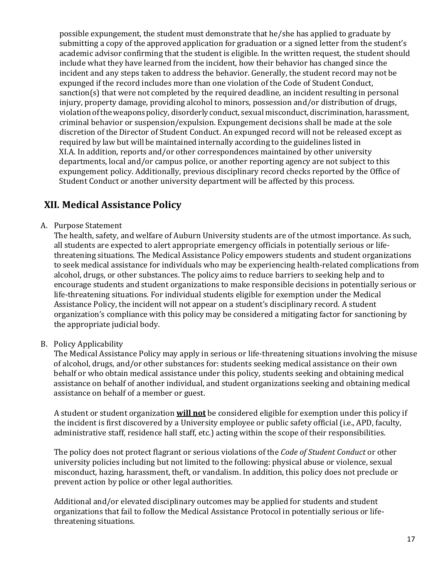possible expungement, the student must demonstrate that he/she has applied to graduate by submitting a copy of the approved application for graduation or a signed letter from the student's academic advisor confirming that the student is eligible. In the written request, the student should include what they have learned from the incident, how their behavior has changed since the incident and any steps taken to address the behavior. Generally, the student record may not be expunged if the record includes more than one violation of the Code of Student Conduct, sanction(s) that were not completed by the required deadline, an incident resulting in personal injury, property damage, providing alcohol to minors, possession and/or distribution of drugs, violationoftheweaponspolicy, disorderly conduct, sexual misconduct, discrimination, harassment, criminal behavior or suspension/expulsion. Expungement decisions shall be made at the sole discretion of the Director of Student Conduct. An expunged record will not be released except as required by law but will be maintained internally according to the guidelines listed in XI.A. In addition, reports and/or other correspondences maintained by other university departments, local and/or campus police, or another reporting agency are not subject to this expungement policy. Additionally, previous disciplinary record checks reported by the Office of Student Conduct or another university department will be affected by this process.

## **XII. Medical Assistance Policy**

A. Purpose Statement

The health, safety, and welfare of Auburn University students are of the utmost importance. As such, all students are expected to alert appropriate emergency officials in potentially serious or lifethreatening situations. The Medical Assistance Policy empowers students and student organizations to seek medical assistance for individuals who may be experiencing health-related complications from alcohol, drugs, or other substances. The policy aims to reduce barriers to seeking help and to encourage students and student organizations to make responsible decisions in potentially serious or life-threatening situations. For individual students eligible for exemption under the Medical Assistance Policy, the incident will not appear on a student's disciplinary record. A student organization's compliance with this policy may be considered a mitigating factor for sanctioning by the appropriate judicial body.

B. Policy Applicability

The Medical Assistance Policy may apply in serious or life-threatening situations involving the misuse of alcohol, drugs, and/or other substances for: students seeking medical assistance on their own behalf or who obtain medical assistance under this policy, students seeking and obtaining medical assistance on behalf of another individual, and student organizations seeking and obtaining medical assistance on behalf of a member or guest.

A student or student organization **will not** be considered eligible for exemption under this policy if the incident is first discovered by a University employee or public safety official (i.e., APD, faculty, administrative staff, residence hall staff, etc.) acting within the scope of their responsibilities.

The policy does not protect flagrant or serious violations of the *Code of Student Conduct* or other university policies including but not limited to the following: physical abuse or violence, sexual misconduct, hazing, harassment, theft, or vandalism. In addition, this policy does not preclude or prevent action by police or other legal authorities.

Additional and/or elevated disciplinary outcomes may be applied for students and student organizations that fail to follow the Medical Assistance Protocol in potentially serious or lifethreatening situations.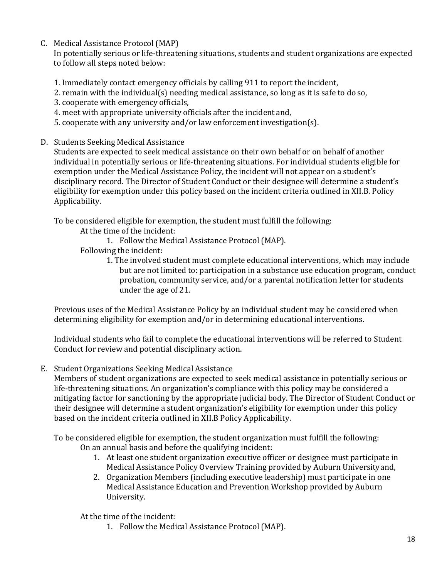C. Medical Assistance Protocol (MAP)

In potentially serious or life-threatening situations, students and student organizations are expected to follow all steps noted below:

- 1. Immediately contact emergency officials by calling 911 to report the incident,
- 2. remain with the individual(s) needing medical assistance, so long as it is safe to do so,
- 3. cooperate with emergency officials,
- 4. meet with appropriate university officials after the incident and,
- 5. cooperate with any university and/or law enforcement investigation(s).
- D. Students Seeking Medical Assistance

Students are expected to seek medical assistance on their own behalf or on behalf of another individual in potentially serious or life-threatening situations. For individual students eligible for exemption under the Medical Assistance Policy, the incident will not appear on a student's disciplinary record. The Director of Student Conduct or their designee will determine a student's eligibility for exemption under this policy based on the incident criteria outlined in XII.B. Policy Applicability.

To be considered eligible for exemption, the student must fulfill the following:

At the time of the incident:

1. Follow the Medical Assistance Protocol (MAP).

Following the incident:

1. The involved student must complete educational interventions, which may include but are not limited to: participation in a substance use education program, conduct probation, community service, and/or a parental notification letter for students under the age of 21.

Previous uses of the Medical Assistance Policy by an individual student may be considered when determining eligibility for exemption and/or in determining educational interventions.

Individual students who fail to complete the educational interventions will be referred to Student Conduct for review and potential disciplinary action.

E. Student Organizations Seeking Medical Assistance

Members of student organizations are expected to seek medical assistance in potentially serious or life-threatening situations. An organization's compliance with this policy may be considered a mitigating factor for sanctioning by the appropriate judicial body. The Director of Student Conduct or their designee will determine a student organization's eligibility for exemption under this policy based on the incident criteria outlined in XII.B Policy Applicability.

To be considered eligible for exemption, the student organization must fulfill the following: On an annual basis and before the qualifying incident:

- 1. At least one student organization executive officer or designee must participate in Medical Assistance Policy Overview Training provided by Auburn Universityand,
- 2. Organization Members (including executive leadership) must participate in one Medical Assistance Education and Prevention Workshop provided by Auburn University.

At the time of the incident:

1. Follow the Medical Assistance Protocol(MAP).